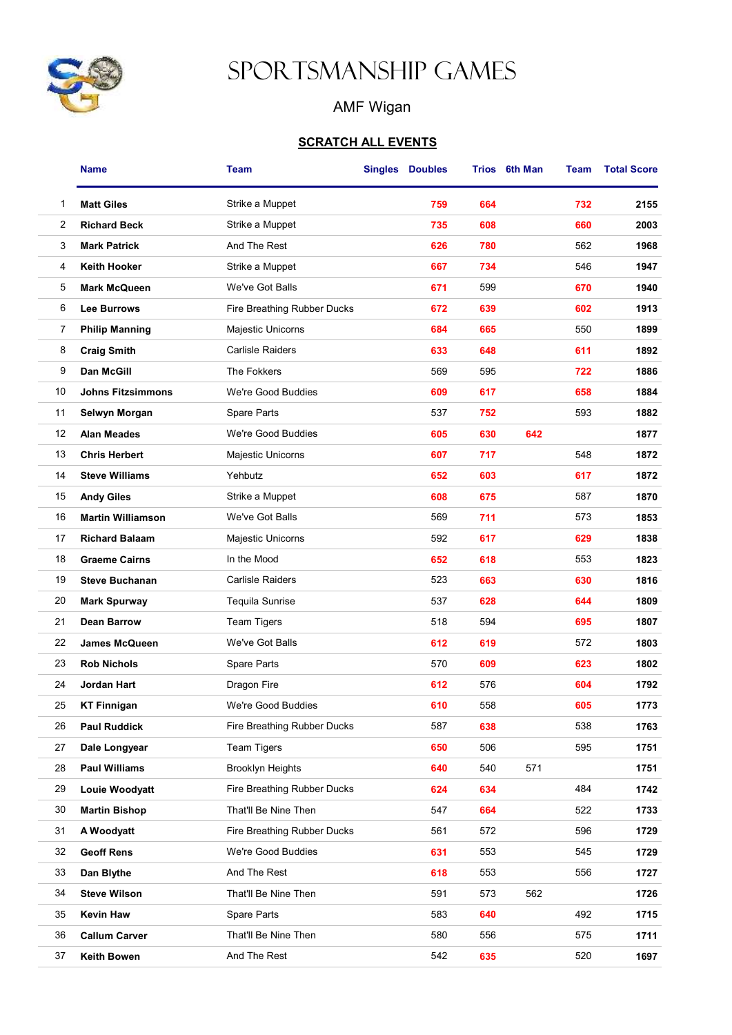

## Sportsmanship Games

## AMF Wigan

## **SCRATCH ALL EVENTS**

|    | Name                     | <b>Team</b>                 | Singles | <b>Doubles</b> |     | Trios 6th Man | Team | <b>Total Score</b> |
|----|--------------------------|-----------------------------|---------|----------------|-----|---------------|------|--------------------|
| 1  | <b>Matt Giles</b>        | Strike a Muppet             |         | 759            | 664 |               | 732  | 2155               |
| 2  | <b>Richard Beck</b>      | Strike a Muppet             |         | 735            | 608 |               | 660  | 2003               |
| 3  | <b>Mark Patrick</b>      | And The Rest                |         | 626            | 780 |               | 562  | 1968               |
| 4  | <b>Keith Hooker</b>      | Strike a Muppet             |         | 667            | 734 |               | 546  | 1947               |
| 5  | <b>Mark McQueen</b>      | We've Got Balls             |         | 671            | 599 |               | 670  | 1940               |
| 6  | Lee Burrows              | Fire Breathing Rubber Ducks |         | 672            | 639 |               | 602  | 1913               |
| 7  | <b>Philip Manning</b>    | Majestic Unicorns           |         | 684            | 665 |               | 550  | 1899               |
| 8  | <b>Craig Smith</b>       | Carlisle Raiders            |         | 633            | 648 |               | 611  | 1892               |
| 9  | Dan McGill               | The Fokkers                 |         | 569            | 595 |               | 722  | 1886               |
| 10 | <b>Johns Fitzsimmons</b> | We're Good Buddies          |         | 609            | 617 |               | 658  | 1884               |
| 11 | Selwyn Morgan            | Spare Parts                 |         | 537            | 752 |               | 593  | 1882               |
| 12 | <b>Alan Meades</b>       | We're Good Buddies          |         | 605            | 630 | 642           |      | 1877               |
| 13 | <b>Chris Herbert</b>     | Majestic Unicorns           |         | 607            | 717 |               | 548  | 1872               |
| 14 | <b>Steve Williams</b>    | Yehbutz                     |         | 652            | 603 |               | 617  | 1872               |
| 15 | <b>Andy Giles</b>        | Strike a Muppet             |         | 608            | 675 |               | 587  | 1870               |
| 16 | <b>Martin Williamson</b> | We've Got Balls             |         | 569            | 711 |               | 573  | 1853               |
| 17 | <b>Richard Balaam</b>    | Majestic Unicorns           |         | 592            | 617 |               | 629  | 1838               |
| 18 | <b>Graeme Cairns</b>     | In the Mood                 |         | 652            | 618 |               | 553  | 1823               |
| 19 | <b>Steve Buchanan</b>    | <b>Carlisle Raiders</b>     |         | 523            | 663 |               | 630  | 1816               |
| 20 | <b>Mark Spurway</b>      | Tequila Sunrise             |         | 537            | 628 |               | 644  | 1809               |
| 21 | <b>Dean Barrow</b>       | <b>Team Tigers</b>          |         | 518            | 594 |               | 695  | 1807               |
| 22 | <b>James McQueen</b>     | We've Got Balls             |         | 612            | 619 |               | 572  | 1803               |
| 23 | <b>Rob Nichols</b>       | Spare Parts                 |         | 570            | 609 |               | 623  | 1802               |
| 24 | Jordan Hart              | Dragon Fire                 |         | 612            | 576 |               | 604  | 1792               |
| 25 | <b>KT Finnigan</b>       | We're Good Buddies          |         | 610            | 558 |               | 605  | 1773               |
| 26 | <b>Paul Ruddick</b>      | Fire Breathing Rubber Ducks |         | 587            | 638 |               | 538  | 1763               |
| 27 | Dale Longyear            | <b>Team Tigers</b>          |         | 650            | 506 |               | 595  | 1751               |
| 28 | <b>Paul Williams</b>     | <b>Brooklyn Heights</b>     |         | 640            | 540 | 571           |      | 1751               |
| 29 | Louie Woodyatt           | Fire Breathing Rubber Ducks |         | 624            | 634 |               | 484  | 1742               |
| 30 | <b>Martin Bishop</b>     | That'll Be Nine Then        |         | 547            | 664 |               | 522  | 1733               |
| 31 | A Woodyatt               | Fire Breathing Rubber Ducks |         | 561            | 572 |               | 596  | 1729               |
| 32 | <b>Geoff Rens</b>        | We're Good Buddies          |         | 631            | 553 |               | 545  | 1729               |
| 33 | Dan Blythe               | And The Rest                |         | 618            | 553 |               | 556  | 1727               |
| 34 | <b>Steve Wilson</b>      | That'll Be Nine Then        |         | 591            | 573 | 562           |      | 1726               |
| 35 | <b>Kevin Haw</b>         | Spare Parts                 |         | 583            | 640 |               | 492  | 1715               |
| 36 | <b>Callum Carver</b>     | That'll Be Nine Then        |         | 580            | 556 |               | 575  | 1711               |
| 37 | Keith Bowen              | And The Rest                |         | 542            | 635 |               | 520  | 1697               |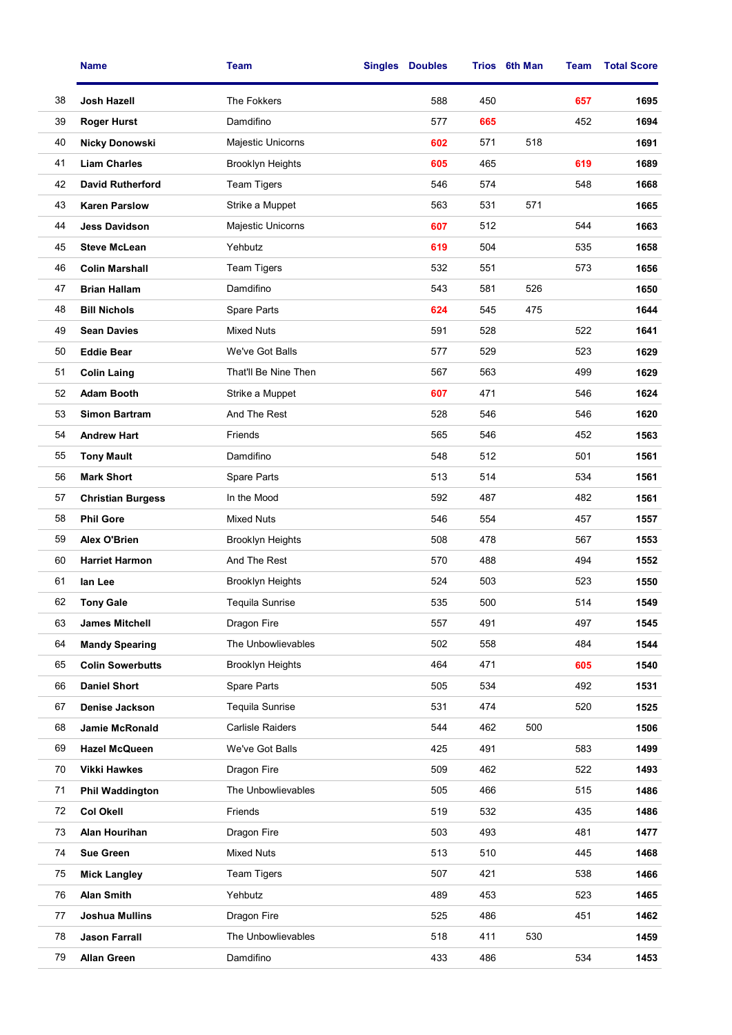|    | <b>Name</b>              | <b>Team</b>             | <b>Singles</b> | <b>Doubles</b> |     | Trios 6th Man | Team | <b>Total Score</b> |
|----|--------------------------|-------------------------|----------------|----------------|-----|---------------|------|--------------------|
| 38 | Josh Hazell              | The Fokkers             |                | 588            | 450 |               | 657  | 1695               |
| 39 | <b>Roger Hurst</b>       | Damdifino               |                | 577            | 665 |               | 452  | 1694               |
| 40 | <b>Nicky Donowski</b>    | Majestic Unicorns       |                | 602            | 571 | 518           |      | 1691               |
| 41 | <b>Liam Charles</b>      | <b>Brooklyn Heights</b> |                | 605            | 465 |               | 619  | 1689               |
| 42 | <b>David Rutherford</b>  | <b>Team Tigers</b>      |                | 546            | 574 |               | 548  | 1668               |
| 43 | <b>Karen Parslow</b>     | Strike a Muppet         |                | 563            | 531 | 571           |      | 1665               |
| 44 | <b>Jess Davidson</b>     | Majestic Unicorns       |                | 607            | 512 |               | 544  | 1663               |
| 45 | <b>Steve McLean</b>      | Yehbutz                 |                | 619            | 504 |               | 535  | 1658               |
| 46 | <b>Colin Marshall</b>    | <b>Team Tigers</b>      |                | 532            | 551 |               | 573  | 1656               |
| 47 | <b>Brian Hallam</b>      | Damdifino               |                | 543            | 581 | 526           |      | 1650               |
| 48 | <b>Bill Nichols</b>      | <b>Spare Parts</b>      |                | 624            | 545 | 475           |      | 1644               |
| 49 | <b>Sean Davies</b>       | <b>Mixed Nuts</b>       |                | 591            | 528 |               | 522  | 1641               |
| 50 | <b>Eddie Bear</b>        | We've Got Balls         |                | 577            | 529 |               | 523  | 1629               |
| 51 | <b>Colin Laing</b>       | That'll Be Nine Then    |                | 567            | 563 |               | 499  | 1629               |
| 52 | <b>Adam Booth</b>        | Strike a Muppet         |                | 607            | 471 |               | 546  | 1624               |
| 53 | <b>Simon Bartram</b>     | And The Rest            |                | 528            | 546 |               | 546  | 1620               |
| 54 | <b>Andrew Hart</b>       | Friends                 |                | 565            | 546 |               | 452  | 1563               |
| 55 | <b>Tony Mault</b>        | Damdifino               |                | 548            | 512 |               | 501  | 1561               |
| 56 | <b>Mark Short</b>        | Spare Parts             |                | 513            | 514 |               | 534  | 1561               |
| 57 | <b>Christian Burgess</b> | In the Mood             |                | 592            | 487 |               | 482  | 1561               |
| 58 | <b>Phil Gore</b>         | <b>Mixed Nuts</b>       |                | 546            | 554 |               | 457  | 1557               |
| 59 | <b>Alex O'Brien</b>      | <b>Brooklyn Heights</b> |                | 508            | 478 |               | 567  | 1553               |
| 60 | <b>Harriet Harmon</b>    | And The Rest            |                | 570            | 488 |               | 494  | 1552               |
| 61 | lan Lee                  | <b>Brooklyn Heights</b> |                | 524            | 503 |               | 523  | 1550               |
| 62 | <b>Tony Gale</b>         | <b>Tequila Sunrise</b>  |                | 535            | 500 |               | 514  | 1549               |
| 63 | <b>James Mitchell</b>    | Dragon Fire             |                | 557            | 491 |               | 497  | 1545               |
| 64 | <b>Mandy Spearing</b>    | The Unbowlievables      |                | 502            | 558 |               | 484  | 1544               |
| 65 | <b>Colin Sowerbutts</b>  | <b>Brooklyn Heights</b> |                | 464            | 471 |               | 605  | 1540               |
| 66 | <b>Daniel Short</b>      | Spare Parts             |                | 505            | 534 |               | 492  | 1531               |
| 67 | Denise Jackson           | <b>Tequila Sunrise</b>  |                | 531            | 474 |               | 520  | 1525               |
| 68 | Jamie McRonald           | <b>Carlisle Raiders</b> |                | 544            | 462 | 500           |      | 1506               |
| 69 | <b>Hazel McQueen</b>     | We've Got Balls         |                | 425            | 491 |               | 583  | 1499               |
| 70 | <b>Vikki Hawkes</b>      | Dragon Fire             |                | 509            | 462 |               | 522  | 1493               |
| 71 | <b>Phil Waddington</b>   | The Unbowlievables      |                | 505            | 466 |               | 515  | 1486               |
| 72 | <b>Col Okell</b>         | Friends                 |                | 519            | 532 |               | 435  | 1486               |
| 73 | Alan Hourihan            | Dragon Fire             |                | 503            | 493 |               | 481  | 1477               |
| 74 | <b>Sue Green</b>         | <b>Mixed Nuts</b>       |                | 513            | 510 |               | 445  | 1468               |
| 75 | <b>Mick Langley</b>      | <b>Team Tigers</b>      |                | 507            | 421 |               | 538  | 1466               |
| 76 | <b>Alan Smith</b>        | Yehbutz                 |                | 489            | 453 |               | 523  | 1465               |
| 77 | Joshua Mullins           | Dragon Fire             |                | 525            | 486 |               | 451  | 1462               |
| 78 | <b>Jason Farrall</b>     | The Unbowlievables      |                | 518            | 411 | 530           |      | 1459               |
| 79 | <b>Allan Green</b>       | Damdifino               |                | 433            | 486 |               | 534  | 1453               |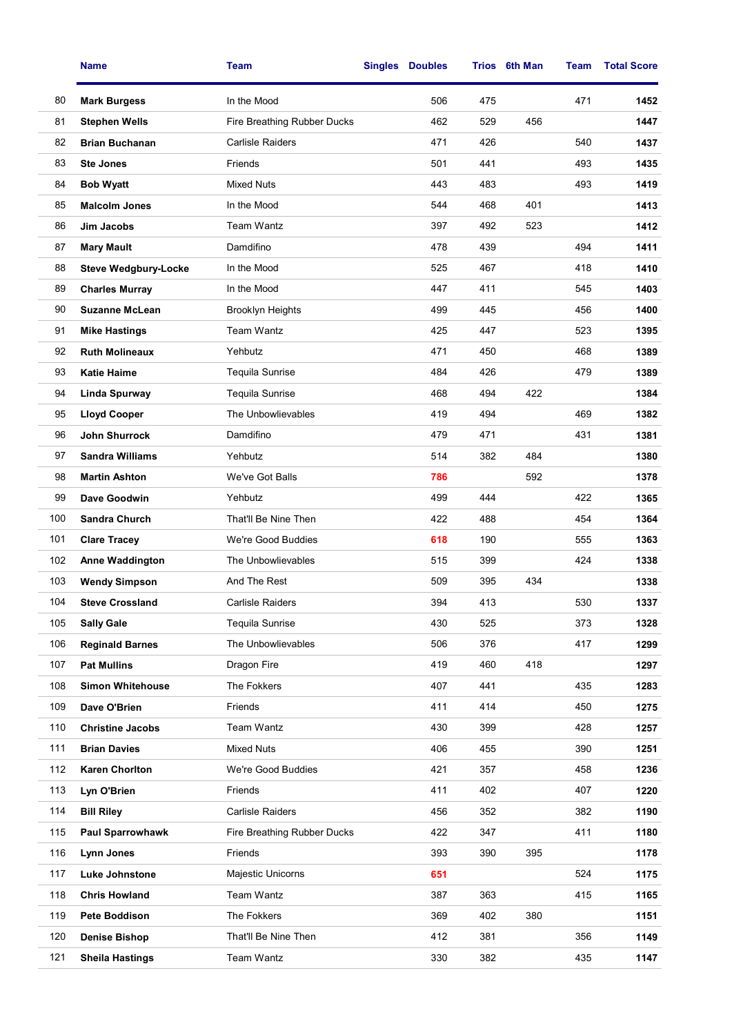|     | <b>Name</b>                 | <b>Team</b>                 | <b>Singles</b> | <b>Doubles</b> | Trios | 6th Man | <b>Team</b> | <b>Total Score</b> |
|-----|-----------------------------|-----------------------------|----------------|----------------|-------|---------|-------------|--------------------|
| 80  | <b>Mark Burgess</b>         | In the Mood                 |                | 506            | 475   |         | 471         | 1452               |
| 81  | <b>Stephen Wells</b>        | Fire Breathing Rubber Ducks |                | 462            | 529   | 456     |             | 1447               |
| 82  | <b>Brian Buchanan</b>       | Carlisle Raiders            |                | 471            | 426   |         | 540         | 1437               |
| 83  | <b>Ste Jones</b>            | Friends                     |                | 501            | 441   |         | 493         | 1435               |
| 84  | <b>Bob Wyatt</b>            | <b>Mixed Nuts</b>           |                | 443            | 483   |         | 493         | 1419               |
| 85  | <b>Malcolm Jones</b>        | In the Mood                 |                | 544            | 468   | 401     |             | 1413               |
| 86  | Jim Jacobs                  | <b>Team Wantz</b>           |                | 397            | 492   | 523     |             | 1412               |
| 87  | <b>Mary Mault</b>           | Damdifino                   |                | 478            | 439   |         | 494         | 1411               |
| 88  | <b>Steve Wedgbury-Locke</b> | In the Mood                 |                | 525            | 467   |         | 418         | 1410               |
| 89  | <b>Charles Murray</b>       | In the Mood                 |                | 447            | 411   |         | 545         | 1403               |
| 90  | <b>Suzanne McLean</b>       | <b>Brooklyn Heights</b>     |                | 499            | 445   |         | 456         | 1400               |
| 91  | <b>Mike Hastings</b>        | <b>Team Wantz</b>           |                | 425            | 447   |         | 523         | 1395               |
| 92  | <b>Ruth Molineaux</b>       | Yehbutz                     |                | 471            | 450   |         | 468         | 1389               |
| 93  | <b>Katie Haime</b>          | <b>Tequila Sunrise</b>      |                | 484            | 426   |         | 479         | 1389               |
| 94  | Linda Spurway               | Tequila Sunrise             |                | 468            | 494   | 422     |             | 1384               |
| 95  | <b>Lloyd Cooper</b>         | The Unbowlievables          |                | 419            | 494   |         | 469         | 1382               |
| 96  | <b>John Shurrock</b>        | Damdifino                   |                | 479            | 471   |         | 431         | 1381               |
| 97  | <b>Sandra Williams</b>      | Yehbutz                     |                | 514            | 382   | 484     |             | 1380               |
| 98  | <b>Martin Ashton</b>        | We've Got Balls             |                | 786            |       | 592     |             | 1378               |
| 99  | Dave Goodwin                | Yehbutz                     |                | 499            | 444   |         | 422         | 1365               |
| 100 | <b>Sandra Church</b>        | That'll Be Nine Then        |                | 422            | 488   |         | 454         | 1364               |
| 101 | <b>Clare Tracey</b>         | We're Good Buddies          |                | 618            | 190   |         | 555         | 1363               |
| 102 | Anne Waddington             | The Unbowlievables          |                | 515            | 399   |         | 424         | 1338               |
| 103 | <b>Wendy Simpson</b>        | And The Rest                |                | 509            | 395   | 434     |             | 1338               |
| 104 | <b>Steve Crossland</b>      | <b>Carlisle Raiders</b>     |                | 394            | 413   |         | 530         | 1337               |
| 105 | <b>Sally Gale</b>           | Tequila Sunrise             |                | 430            | 525   |         | 373         | 1328               |
| 106 | <b>Reginald Barnes</b>      | The Unbowlievables          |                | 506            | 376   |         | 417         | 1299               |
| 107 | <b>Pat Mullins</b>          | Dragon Fire                 |                | 419            | 460   | 418     |             | 1297               |
| 108 | <b>Simon Whitehouse</b>     | The Fokkers                 |                | 407            | 441   |         | 435         | 1283               |
| 109 | Dave O'Brien                | Friends                     |                | 411            | 414   |         | 450         | 1275               |
| 110 | <b>Christine Jacobs</b>     | Team Wantz                  |                | 430            | 399   |         | 428         | 1257               |
| 111 | <b>Brian Davies</b>         | <b>Mixed Nuts</b>           |                | 406            | 455   |         | 390         | 1251               |
| 112 | <b>Karen Chorlton</b>       | We're Good Buddies          |                | 421            | 357   |         | 458         | 1236               |
| 113 | Lyn O'Brien                 | Friends                     |                | 411            | 402   |         | 407         | 1220               |
| 114 | <b>Bill Riley</b>           | Carlisle Raiders            |                | 456            | 352   |         | 382         | 1190               |
| 115 | <b>Paul Sparrowhawk</b>     | Fire Breathing Rubber Ducks |                | 422            | 347   |         | 411         | 1180               |
| 116 | Lynn Jones                  | Friends                     |                | 393            | 390   | 395     |             | 1178               |
| 117 | Luke Johnstone              | Majestic Unicorns           |                | 651            |       |         | 524         | 1175               |
| 118 | <b>Chris Howland</b>        | Team Wantz                  |                | 387            | 363   |         | 415         | 1165               |
| 119 | <b>Pete Boddison</b>        | The Fokkers                 |                | 369            | 402   | 380     |             | 1151               |
| 120 | <b>Denise Bishop</b>        | That'll Be Nine Then        |                | 412            | 381   |         | 356         | 1149               |
| 121 | <b>Sheila Hastings</b>      | Team Wantz                  |                | 330            | 382   |         | 435         | 1147               |